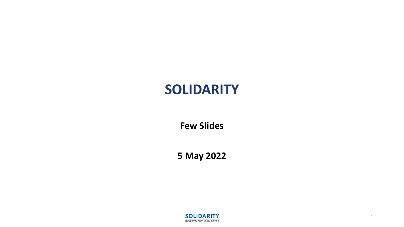# **SOLIDARITY**

**Few Slides**

**5 May 2022**



1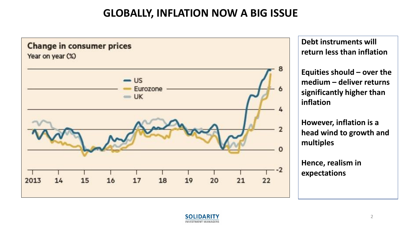# **GLOBALLY, INFLATION NOW A BIG ISSUE**



**Debt instruments will return less than inflation**

**Equities should – over the medium – deliver returns significantly higher than inflation**

**However, inflation is a head wind to growth and multiples**

**Hence, realism in expectations**

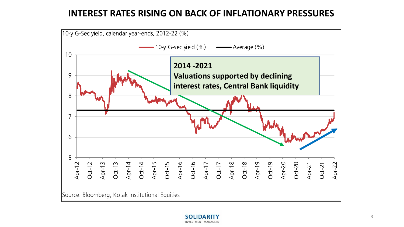#### **INTEREST RATES RISING ON BACK OF INFLATIONARY PRESSURES**



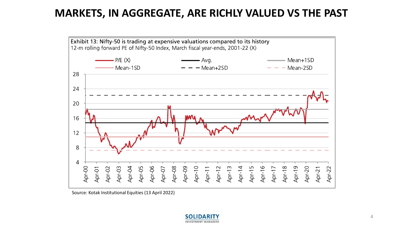### **MARKETS, IN AGGREGATE, ARE RICHLY VALUED VS THE PAST**



Source: Kotak Institutional Equities (13 April 2022)

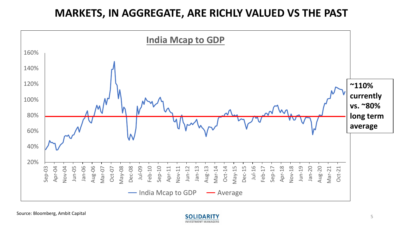# **MARKETS, IN AGGREGATE, ARE RICHLY VALUED VS THE PAST**